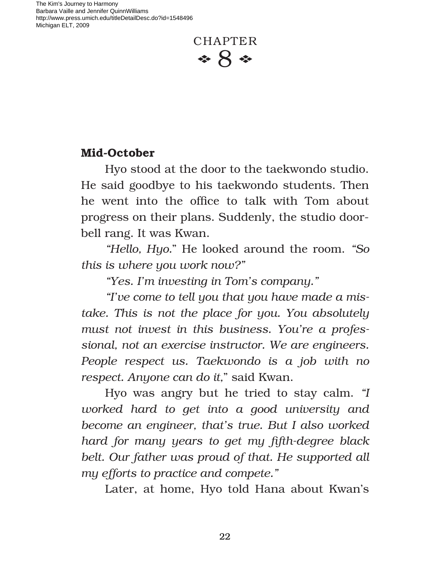

## **Mid-October**

Hyo stood at the door to the taekwondo studio. He said goodbye to his taekwondo students. Then he went into the office to talk with Tom about progress on their plans. Suddenly, the studio doorbell rang. It was Kwan.

*"Hello, Hyo.*" He looked around the room. *"So this is where you work now?"*

*"Yes. I'm investing in Tom's company."*

*"I've come to tell you that you have made a mistake. This is not the place for you. You absolutely must not invest in this business. You're a professional, not an exercise instructor. We are engineers. People respect us. Taekwondo is a job with no respect. Anyone can do it,*" said Kwan.

Hyo was angry but he tried to stay calm. *"I worked hard to get into a good university and become an engineer, that's true. But I also worked hard for many years to get my ‹fth-degree black belt. Our father was proud of that. He supported all my efforts to practice and compete."*

Later, at home, Hyo told Hana about Kwan's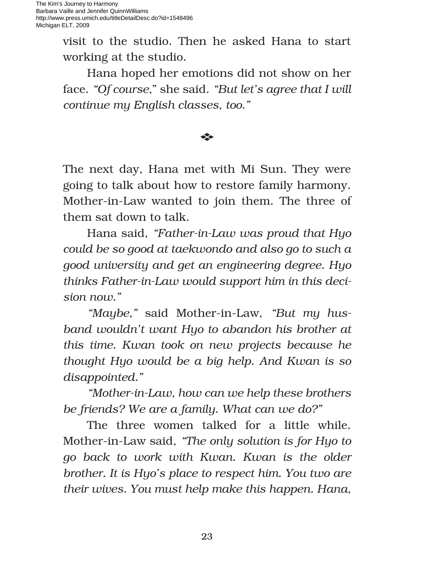> visit to the studio. Then he asked Hana to start working at the studio.

> Hana hoped her emotions did not show on her face. *"Of course,*" she said. *"But let's agree that I will continue my English classes, too."*

## E

The next day, Hana met with Mi Sun. They were going to talk about how to restore family harmony. Mother-in-Law wanted to join them. The three of them sat down to talk.

Hana said, *"Father-in-Law was proud that Hyo could be so good at taekwondo and also go to such a good university and get an engineering degree. Hyo thinks Father-in-Law would support him in this decision now."*

*"Maybe,"* said Mother-in-Law, *"But my husband wouldn't want Hyo to abandon his brother at this time. Kwan took on new projects because he thought Hyo would be a big help. And Kwan is so disappointed."*

*"Mother-in-Law, how can we help these brothers be friends? We are a family. What can we do?"*

The three women talked for a little while. Mother-in-Law said, *"The only solution is for Hyo to go back to work with Kwan. Kwan is the older brother. It is Hyo's place to respect him. You two are their wives. You must help make this happen. Hana,*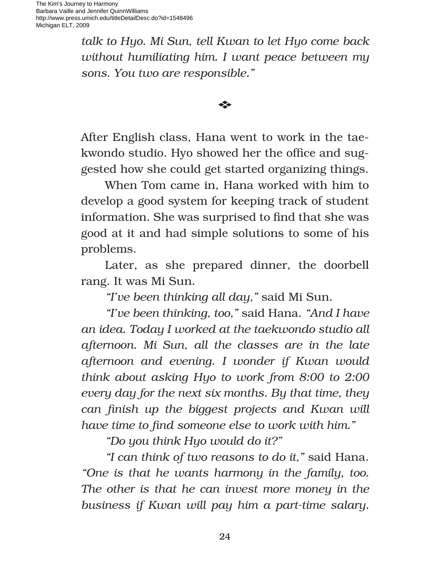> *talk to Hyo. Mi Sun, tell Kwan to let Hyo come back without humiliating him. I want peace between my sons. You two are responsible."*

> > E

After English class, Hana went to work in the taekwondo studio. Hyo showed her the office and suggested how she could get started organizing things.

When Tom came in, Hana worked with him to develop a good system for keeping track of student information. She was surprised to find that she was good at it and had simple solutions to some of his problems.

Later, as she prepared dinner, the doorbell rang. It was Mi Sun.

*"I've been thinking all day,"* said Mi Sun.

*"I've been thinking, too,"* said Hana*. "And I have an idea. Today I worked at the taekwondo studio all afternoon. Mi Sun, all the classes are in the late afternoon and evening. I wonder if Kwan would think about asking Hyo to work from 8:00 to 2:00 every day for the next six months. By that time, they* can finish up the biggest projects and Kwan will *have time to find someone else to work with him."* 

*"Do you think Hyo would do it?"*

*"I can think of two reasons to do it,"* said Hana. *"One is that he wants harmony in the family, too. The other is that he can invest more money in the business if Kwan will pay him a part-time salary.*